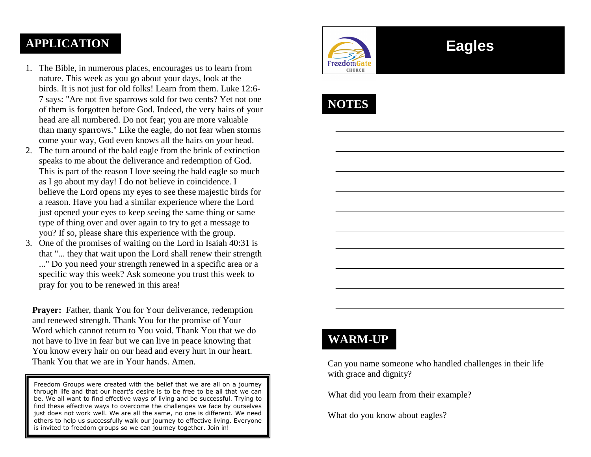## **APPLICATION**

- 1. The Bible, in numerous places, encourages us to learn from nature. This week as you go about your days, look at the birds. It is not just for old folks! Learn from them. Luke 12:6- 7 says: "Are not five sparrows sold for two cents? Yet not one of them is forgotten before God. Indeed, the very hairs of your head are all numbered. Do not fear; you are more valuable than many sparrows." Like the eagle, do not fear when storms come your way, God even knows all the hairs on your head.
- 2. The turn around of the bald eagle from the brink of extinction speaks to me about the deliverance and redemption of God. This is part of the reason I love seeing the bald eagle so much as I go about my day! I do not believe in coincidence. I believe the Lord opens my eyes to see these majestic birds for a reason. Have you had a similar experience where the Lord just opened your eyes to keep seeing the same thing or same type of thing over and over again to try to get a message to you? If so, please share this experience with the group.
- 3. One of the promises of waiting on the Lord in Isaiah 40:31 is that "... they that wait upon the Lord shall renew their strength ..." Do you need your strength renewed in a specific area or a specific way this week? Ask someone you trust this week to pray for you to be renewed in this area!

**Prayer:** Father, thank You for Your deliverance, redemption and renewed strength. Thank You for the promise of Your Word which cannot return to You void. Thank You that we do not have to live in fear but we can live in peace knowing that You know every hair on our head and every hurt in our heart. Thank You that we are in Your hands. Amen.

Freedom Groups were created with the belief that we are all on a journey through life and that our heart's desire is to be free to be all that we can be. We all want to find effective ways of living and be successful. Trying to find these effective ways to overcome the challenges we face by ourselves just does not work well. We are all the same, no one is different. We need others to help us successfully walk our journey to effective living. Everyone is invited to freedom groups so we can journey together. Join in!



# **Eagles**

# **NOTES**

# **WARM-UP**

Can you name someone who handled challenges in their life with grace and dignity?

What did you learn from their example?

What do you know about eagles?